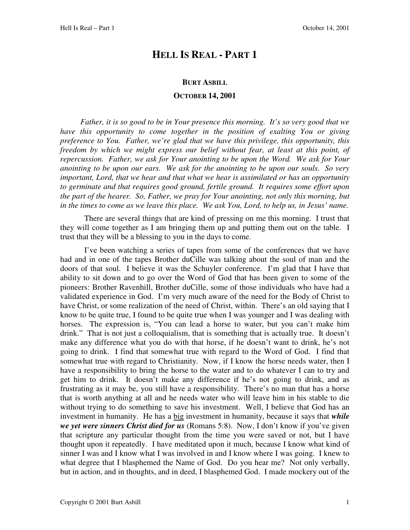# **HELL IS REAL - PART 1**

#### **BURT ASBILL**

#### **OCTOBER 14, 2001**

 *Father, it is so good to be in Your presence this morning. It's so very good that we have this opportunity to come together in the position of exalting You or giving preference to You. Father, we're glad that we have this privilege, this opportunity, this freedom by which we might express our belief without fear, at least at this point, of repercussion. Father, we ask for Your anointing to be upon the Word. We ask for Your anointing to be upon our ears. We ask for the anointing to be upon our souls. So very important, Lord, that we hear and that what we hear is assimilated or has an opportunity to germinate and that requires good ground, fertile ground. It requires some effort upon the part of the hearer. So, Father, we pray for Your anointing, not only this morning, but in the times to come as we leave this place. We ask You, Lord, to help us, in Jesus' name.*

There are several things that are kind of pressing on me this morning. I trust that they will come together as I am bringing them up and putting them out on the table. I trust that they will be a blessing to you in the days to come.

 I've been watching a series of tapes from some of the conferences that we have had and in one of the tapes Brother duCille was talking about the soul of man and the doors of that soul. I believe it was the Schuyler conference. I'm glad that I have that ability to sit down and to go over the Word of God that has been given to some of the pioneers: Brother Ravenhill, Brother duCille, some of those individuals who have had a validated experience in God. I'm very much aware of the need for the Body of Christ to have Christ, or some realization of the need of Christ, within. There's an old saying that I know to be quite true, I found to be quite true when I was younger and I was dealing with horses. The expression is, "You can lead a horse to water, but you can't make him drink." That is not just a colloquialism, that is something that is actually true. It doesn't make any difference what you do with that horse, if he doesn't want to drink, he's not going to drink. I find that somewhat true with regard to the Word of God. I find that somewhat true with regard to Christianity. Now, if I know the horse needs water, then I have a responsibility to bring the horse to the water and to do whatever I can to try and get him to drink. It doesn't make any difference if he's not going to drink, and as frustrating as it may be, you still have a responsibility. There's no man that has a horse that is worth anything at all and he needs water who will leave him in his stable to die without trying to do something to save his investment. Well, I believe that God has an investment in humanity. He has a big investment in humanity, because it says that *while we yet were sinners Christ died for us* (Romans 5:8).Now, I don't know if you've given that scripture any particular thought from the time you were saved or not, but I have thought upon it repeatedly. I have meditated upon it much, because I know what kind of sinner I was and I know what I was involved in and I know where I was going. I knew to what degree that I blasphemed the Name of God. Do you hear me? Not only verbally, but in action, and in thoughts, and in deed, I blasphemed God. I made mockery out of the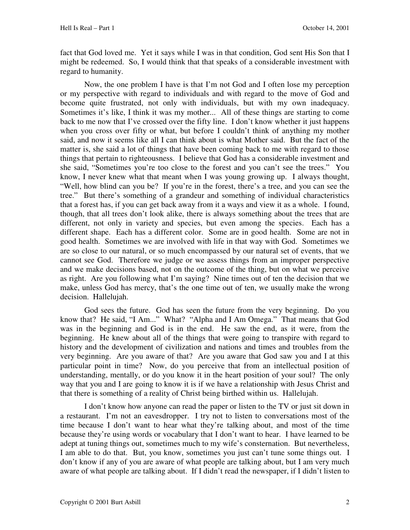fact that God loved me. Yet it says while I was in that condition, God sent His Son that I might be redeemed. So, I would think that that speaks of a considerable investment with regard to humanity.

 Now, the one problem I have is that I'm not God and I often lose my perception or my perspective with regard to individuals and with regard to the move of God and become quite frustrated, not only with individuals, but with my own inadequacy. Sometimes it's like, I think it was my mother... All of these things are starting to come back to me now that I've crossed over the fifty line. I don't know whether it just happens when you cross over fifty or what, but before I couldn't think of anything my mother said, and now it seems like all I can think about is what Mother said. But the fact of the matter is, she said a lot of things that have been coming back to me with regard to those things that pertain to righteousness. I believe that God has a considerable investment and she said, "Sometimes you're too close to the forest and you can't see the trees." You know, I never knew what that meant when I was young growing up. I always thought, "Well, how blind can you be? If you're in the forest, there's a tree, and you can see the tree." But there's something of a grandeur and something of individual characteristics that a forest has, if you can get back away from it a ways and view it as a whole. I found, though, that all trees don't look alike, there is always something about the trees that are different, not only in variety and species, but even among the species. Each has a different shape. Each has a different color. Some are in good health. Some are not in good health. Sometimes we are involved with life in that way with God. Sometimes we are so close to our natural, or so much encompassed by our natural set of events, that we cannot see God. Therefore we judge or we assess things from an improper perspective and we make decisions based, not on the outcome of the thing, but on what we perceive as right. Are you following what I'm saying? Nine times out of ten the decision that we make, unless God has mercy, that's the one time out of ten, we usually make the wrong decision. Hallelujah.

 God sees the future. God has seen the future from the very beginning. Do you know that? He said, "I Am..." What? "Alpha and I Am Omega." That means that God was in the beginning and God is in the end. He saw the end, as it were, from the beginning. He knew about all of the things that were going to transpire with regard to history and the development of civilization and nations and times and troubles from the very beginning. Are you aware of that? Are you aware that God saw you and I at this particular point in time? Now, do you perceive that from an intellectual position of understanding, mentally, or do you know it in the heart position of your soul? The only way that you and I are going to know it is if we have a relationship with Jesus Christ and that there is something of a reality of Christ being birthed within us. Hallelujah.

 I don't know how anyone can read the paper or listen to the TV or just sit down in a restaurant. I'm not an eavesdropper. I try not to listen to conversations most of the time because I don't want to hear what they're talking about, and most of the time because they're using words or vocabulary that I don't want to hear. I have learned to be adept at tuning things out, sometimes much to my wife's consternation. But nevertheless, I am able to do that. But, you know, sometimes you just can't tune some things out. I don't know if any of you are aware of what people are talking about, but I am very much aware of what people are talking about. If I didn't read the newspaper, if I didn't listen to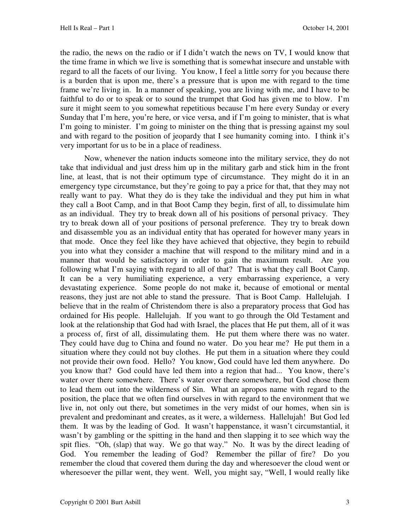the radio, the news on the radio or if I didn't watch the news on TV, I would know that the time frame in which we live is something that is somewhat insecure and unstable with regard to all the facets of our living. You know, I feel a little sorry for you because there is a burden that is upon me, there's a pressure that is upon me with regard to the time frame we're living in. In a manner of speaking, you are living with me, and I have to be faithful to do or to speak or to sound the trumpet that God has given me to blow. I'm sure it might seem to you somewhat repetitious because I'm here every Sunday or every Sunday that I'm here, you're here, or vice versa, and if I'm going to minister, that is what I'm going to minister. I'm going to minister on the thing that is pressing against my soul and with regard to the position of jeopardy that I see humanity coming into. I think it's very important for us to be in a place of readiness.

 Now, whenever the nation inducts someone into the military service, they do not take that individual and just dress him up in the military garb and stick him in the front line, at least, that is not their optimum type of circumstance. They might do it in an emergency type circumstance, but they're going to pay a price for that, that they may not really want to pay. What they do is they take the individual and they put him in what they call a Boot Camp, and in that Boot Camp they begin, first of all, to dissimulate him as an individual. They try to break down all of his positions of personal privacy. They try to break down all of your positions of personal preference. They try to break down and disassemble you as an individual entity that has operated for however many years in that mode. Once they feel like they have achieved that objective, they begin to rebuild you into what they consider a machine that will respond to the military mind and in a manner that would be satisfactory in order to gain the maximum result. Are you following what I'm saying with regard to all of that? That is what they call Boot Camp. It can be a very humiliating experience, a very embarrassing experience, a very devastating experience. Some people do not make it, because of emotional or mental reasons, they just are not able to stand the pressure. That is Boot Camp. Hallelujah. I believe that in the realm of Christendom there is also a preparatory process that God has ordained for His people. Hallelujah. If you want to go through the Old Testament and look at the relationship that God had with Israel, the places that He put them, all of it was a process of, first of all, dissimulating them. He put them where there was no water. They could have dug to China and found no water. Do you hear me? He put them in a situation where they could not buy clothes. He put them in a situation where they could not provide their own food. Hello? You know, God could have led them anywhere. Do you know that? God could have led them into a region that had... You know, there's water over there somewhere. There's water over there somewhere, but God chose them to lead them out into the wilderness of Sin. What an apropos name with regard to the position, the place that we often find ourselves in with regard to the environment that we live in, not only out there, but sometimes in the very midst of our homes, when sin is prevalent and predominant and creates, as it were, a wilderness. Hallelujah! But God led them. It was by the leading of God. It wasn't happenstance, it wasn't circumstantial, it wasn't by gambling or the spitting in the hand and then slapping it to see which way the spit flies. "Oh, (slap) that way. We go that way." No. It was by the direct leading of God. You remember the leading of God? Remember the pillar of fire? Do you remember the cloud that covered them during the day and wheresoever the cloud went or wheresoever the pillar went, they went. Well, you might say, "Well, I would really like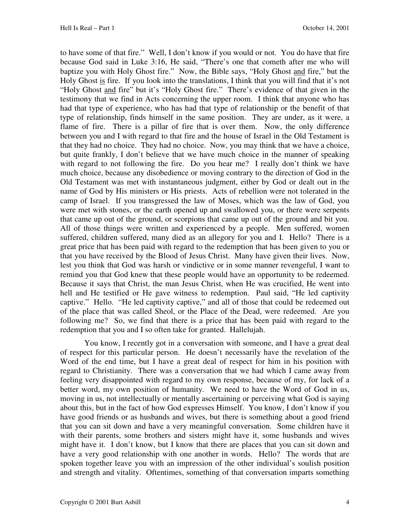to have some of that fire." Well, I don't know if you would or not. You do have that fire because God said in Luke 3:16, He said, "There's one that cometh after me who will baptize you with Holy Ghost fire." Now, the Bible says, "Holy Ghost and fire," but the Holy Ghost is fire. If you look into the translations, I think that you will find that it's not "Holy Ghost and fire" but it's "Holy Ghost fire." There's evidence of that given in the testimony that we find in Acts concerning the upper room. I think that anyone who has had that type of experience, who has had that type of relationship or the benefit of that type of relationship, finds himself in the same position. They are under, as it were, a flame of fire. There is a pillar of fire that is over them. Now, the only difference between you and I with regard to that fire and the house of Israel in the Old Testament is that they had no choice. They had no choice. Now, you may think that we have a choice, but quite frankly, I don't believe that we have much choice in the manner of speaking with regard to not following the fire. Do you hear me? I really don't think we have much choice, because any disobedience or moving contrary to the direction of God in the Old Testament was met with instantaneous judgment, either by God or dealt out in the name of God by His ministers or His priests. Acts of rebellion were not tolerated in the camp of Israel. If you transgressed the law of Moses, which was the law of God, you were met with stones, or the earth opened up and swallowed you, or there were serpents that came up out of the ground, or scorpions that came up out of the ground and bit you. All of those things were written and experienced by a people. Men suffered, women suffered, children suffered, many died as an allegory for you and I. Hello? There is a great price that has been paid with regard to the redemption that has been given to you or that you have received by the Blood of Jesus Christ. Many have given their lives. Now, lest you think that God was harsh or vindictive or in some manner revengeful, I want to remind you that God knew that these people would have an opportunity to be redeemed. Because it says that Christ, the man Jesus Christ, when He was crucified, He went into hell and He testified or He gave witness to redemption. Paul said, "He led captivity captive." Hello. "He led captivity captive," and all of those that could be redeemed out of the place that was called Sheol, or the Place of the Dead, were redeemed. Are you following me? So, we find that there is a price that has been paid with regard to the redemption that you and I so often take for granted. Hallelujah.

 You know, I recently got in a conversation with someone, and I have a great deal of respect for this particular person. He doesn't necessarily have the revelation of the Word of the end time, but I have a great deal of respect for him in his position with regard to Christianity. There was a conversation that we had which I came away from feeling very disappointed with regard to my own response, because of my, for lack of a better word, my own position of humanity. We need to have the Word of God in us, moving in us, not intellectually or mentally ascertaining or perceiving what God is saying about this, but in the fact of how God expresses Himself. You know, I don't know if you have good friends or as husbands and wives, but there is something about a good friend that you can sit down and have a very meaningful conversation. Some children have it with their parents, some brothers and sisters might have it, some husbands and wives might have it. I don't know, but I know that there are places that you can sit down and have a very good relationship with one another in words. Hello? The words that are spoken together leave you with an impression of the other individual's soulish position and strength and vitality. Oftentimes, something of that conversation imparts something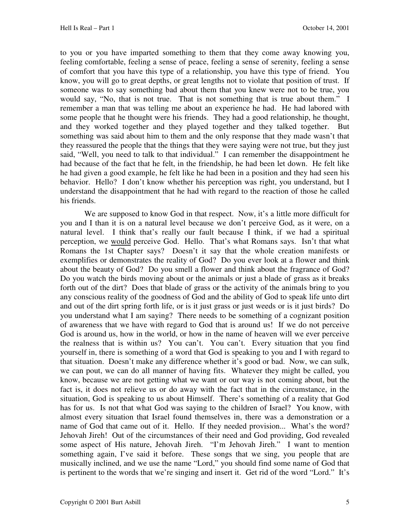to you or you have imparted something to them that they come away knowing you, feeling comfortable, feeling a sense of peace, feeling a sense of serenity, feeling a sense of comfort that you have this type of a relationship, you have this type of friend. You know, you will go to great depths, or great lengths not to violate that position of trust. If someone was to say something bad about them that you knew were not to be true, you would say, "No, that is not true. That is not something that is true about them." I remember a man that was telling me about an experience he had. He had labored with some people that he thought were his friends. They had a good relationship, he thought, and they worked together and they played together and they talked together. But something was said about him to them and the only response that they made wasn't that they reassured the people that the things that they were saying were not true, but they just said, "Well, you need to talk to that individual." I can remember the disappointment he had because of the fact that he felt, in the friendship, he had been let down. He felt like he had given a good example, he felt like he had been in a position and they had seen his behavior. Hello? I don't know whether his perception was right, you understand, but I understand the disappointment that he had with regard to the reaction of those he called his friends.

 We are supposed to know God in that respect. Now, it's a little more difficult for you and I than it is on a natural level because we don't perceive God, as it were, on a natural level. I think that's really our fault because I think, if we had a spiritual perception, we would perceive God. Hello. That's what Romans says. Isn't that what Romans the 1st Chapter says? Doesn't it say that the whole creation manifests or exemplifies or demonstrates the reality of God? Do you ever look at a flower and think about the beauty of God? Do you smell a flower and think about the fragrance of God? Do you watch the birds moving about or the animals or just a blade of grass as it breaks forth out of the dirt? Does that blade of grass or the activity of the animals bring to you any conscious reality of the goodness of God and the ability of God to speak life unto dirt and out of the dirt spring forth life, or is it just grass or just weeds or is it just birds? Do you understand what I am saying? There needs to be something of a cognizant position of awareness that we have with regard to God that is around us! If we do not perceive God is around us, how in the world, or how in the name of heaven will we ever perceive the realness that is within us? You can't. You can't. Every situation that you find yourself in, there is something of a word that God is speaking to you and I with regard to that situation. Doesn't make any difference whether it's good or bad. Now, we can sulk, we can pout, we can do all manner of having fits. Whatever they might be called, you know, because we are not getting what we want or our way is not coming about, but the fact is, it does not relieve us or do away with the fact that in the circumstance, in the situation, God is speaking to us about Himself. There's something of a reality that God has for us. Is not that what God was saying to the children of Israel? You know, with almost every situation that Israel found themselves in, there was a demonstration or a name of God that came out of it. Hello. If they needed provision... What's the word? Jehovah Jireh! Out of the circumstances of their need and God providing, God revealed some aspect of His nature, Jehovah Jireh. "I'm Jehovah Jireh." I want to mention something again, I've said it before. These songs that we sing, you people that are musically inclined, and we use the name "Lord," you should find some name of God that is pertinent to the words that we're singing and insert it. Get rid of the word "Lord." It's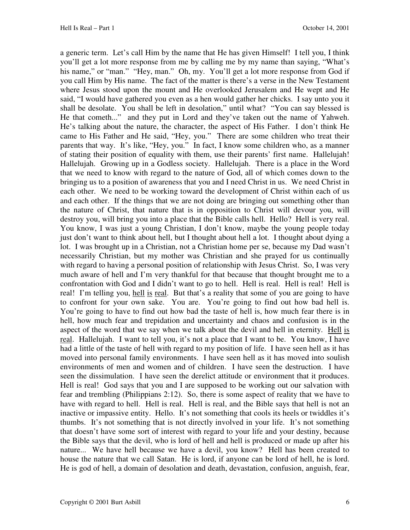a generic term. Let's call Him by the name that He has given Himself! I tell you, I think you'll get a lot more response from me by calling me by my name than saying, "What's his name," or "man." "Hey, man." Oh, my. You'll get a lot more response from God if you call Him by His name. The fact of the matter is there's a verse in the New Testament where Jesus stood upon the mount and He overlooked Jerusalem and He wept and He said, "I would have gathered you even as a hen would gather her chicks. I say unto you it shall be desolate. You shall be left in desolation," until what? "You can say blessed is He that cometh..." and they put in Lord and they've taken out the name of Yahweh. He's talking about the nature, the character, the aspect of His Father. I don't think He came to His Father and He said, "Hey, you." There are some children who treat their parents that way. It's like, "Hey, you." In fact, I know some children who, as a manner of stating their position of equality with them, use their parents' first name. Hallelujah! Hallelujah. Growing up in a Godless society. Hallelujah. There is a place in the Word that we need to know with regard to the nature of God, all of which comes down to the bringing us to a position of awareness that you and I need Christ in us. We need Christ in each other. We need to be working toward the development of Christ within each of us and each other. If the things that we are not doing are bringing out something other than the nature of Christ, that nature that is in opposition to Christ will devour you, will destroy you, will bring you into a place that the Bible calls hell. Hello? Hell is very real. You know, I was just a young Christian, I don't know, maybe the young people today just don't want to think about hell, but I thought about hell a lot. I thought about dying a lot. I was brought up in a Christian, not a Christian home per se, because my Dad wasn't necessarily Christian, but my mother was Christian and she prayed for us continually with regard to having a personal position of relationship with Jesus Christ. So, I was very much aware of hell and I'm very thankful for that because that thought brought me to a confrontation with God and I didn't want to go to hell. Hell is real. Hell is real! Hell is real! I'm telling you, hell is real. But that's a reality that some of you are going to have to confront for your own sake. You are. You're going to find out how bad hell is. You're going to have to find out how bad the taste of hell is, how much fear there is in hell, how much fear and trepidation and uncertainty and chaos and confusion is in the aspect of the word that we say when we talk about the devil and hell in eternity. Hell is real. Hallelujah. I want to tell you, it's not a place that I want to be. You know, I have had a little of the taste of hell with regard to my position of life. I have seen hell as it has moved into personal family environments. I have seen hell as it has moved into soulish environments of men and women and of children. I have seen the destruction. I have seen the dissimulation. I have seen the derelict attitude or environment that it produces. Hell is real! God says that you and I are supposed to be working out our salvation with fear and trembling (Philippians 2:12). So, there is some aspect of reality that we have to have with regard to hell. Hell is real. Hell is real, and the Bible says that hell is not an inactive or impassive entity. Hello. It's not something that cools its heels or twiddles it's thumbs. It's not something that is not directly involved in your life. It's not something that doesn't have some sort of interest with regard to your life and your destiny, because the Bible says that the devil, who is lord of hell and hell is produced or made up after his nature... We have hell because we have a devil, you know? Hell has been created to house the nature that we call Satan. He is lord, if anyone can be lord of hell, he is lord. He is god of hell, a domain of desolation and death, devastation, confusion, anguish, fear,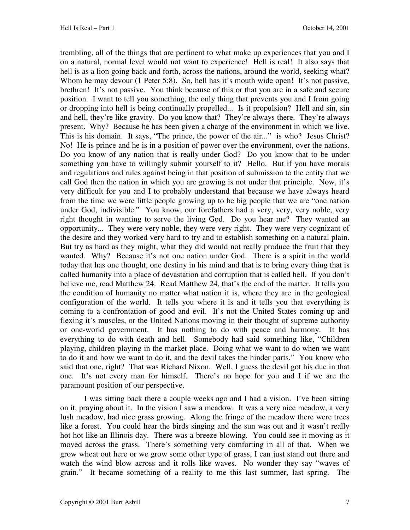trembling, all of the things that are pertinent to what make up experiences that you and I on a natural, normal level would not want to experience! Hell is real! It also says that hell is as a lion going back and forth, across the nations, around the world, seeking what? Whom he may devour (1 Peter 5:8). So, hell has it's mouth wide open! It's not passive, brethren! It's not passive. You think because of this or that you are in a safe and secure position. I want to tell you something, the only thing that prevents you and I from going or dropping into hell is being continually propelled... Is it propulsion? Hell and sin, sin and hell, they're like gravity. Do you know that? They're always there. They're always present. Why? Because he has been given a charge of the environment in which we live. This is his domain. It says, "The prince, the power of the air..." is who? Jesus Christ? No! He is prince and he is in a position of power over the environment, over the nations. Do you know of any nation that is really under God? Do you know that to be under something you have to willingly submit yourself to it? Hello. But if you have morals and regulations and rules against being in that position of submission to the entity that we call God then the nation in which you are growing is not under that principle. Now, it's very difficult for you and I to probably understand that because we have always heard from the time we were little people growing up to be big people that we are "one nation under God, indivisible." You know, our forefathers had a very, very, very noble, very right thought in wanting to serve the living God. Do you hear me? They wanted an opportunity... They were very noble, they were very right. They were very cognizant of the desire and they worked very hard to try and to establish something on a natural plain. But try as hard as they might, what they did would not really produce the fruit that they wanted. Why? Because it's not one nation under God. There is a spirit in the world today that has one thought, one destiny in his mind and that is to bring every thing that is called humanity into a place of devastation and corruption that is called hell. If you don't believe me, read Matthew 24. Read Matthew 24, that's the end of the matter. It tells you the condition of humanity no matter what nation it is, where they are in the geological configuration of the world. It tells you where it is and it tells you that everything is coming to a confrontation of good and evil. It's not the United States coming up and flexing it's muscles, or the United Nations moving in their thought of supreme authority or one-world government. It has nothing to do with peace and harmony. It has everything to do with death and hell. Somebody had said something like, "Children playing, children playing in the market place. Doing what we want to do when we want to do it and how we want to do it, and the devil takes the hinder parts." You know who said that one, right? That was Richard Nixon. Well, I guess the devil got his due in that one. It's not every man for himself. There's no hope for you and I if we are the paramount position of our perspective.

 I was sitting back there a couple weeks ago and I had a vision. I've been sitting on it, praying about it. In the vision I saw a meadow. It was a very nice meadow, a very lush meadow, had nice grass growing. Along the fringe of the meadow there were trees like a forest. You could hear the birds singing and the sun was out and it wasn't really hot hot like an Illinois day. There was a breeze blowing. You could see it moving as it moved across the grass. There's something very comforting in all of that. When we grow wheat out here or we grow some other type of grass, I can just stand out there and watch the wind blow across and it rolls like waves. No wonder they say "waves of grain." It became something of a reality to me this last summer, last spring. The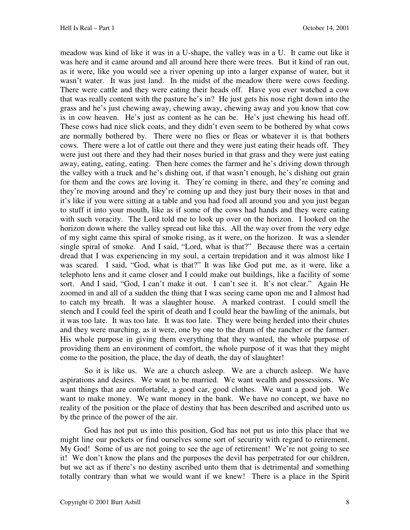meadow was kind of like it was in a U-shape, the valley was in a U. It came out like it was here and it came around and all around here there were trees. But it kind of ran out, as it were, like you would see a river opening up into a larger expanse of water, but it wasn't water. It was just land. In the midst of the meadow there were cows feeding. There were cattle and they were eating their heads off. Have you ever watched a cow that was really content with the pasture he's in? He just gets his nose right down into the grass and he's just chewing away, chewing away, chewing away and you know that cow is in cow heaven. He's just as content as he can be. He's just chewing his head off. These cows had nice slick coats, and they didn't even seem to be bothered by what cows are normally bothered by. There were no flies or fleas or whatever it is that bothers cows. There were a lot of cattle out there and they were just eating their heads off. They were just out there and they had their noses buried in that grass and they were just eating away, eating, eating, eating. Then here comes the farmer and he's driving down through the valley with a truck and he's dishing out, if that wasn't enough, he's dishing out grain for them and the cows are loving it. They're coming in there, and they're coming and they're moving around and they're coming up and they just bury their noses in that and it's like if you were sitting at a table and you had food all around you and you just began to stuff it into your mouth, like as if some of the cows had hands and they were eating with such voracity. The Lord told me to look up over on the horizon. I looked on the horizon down where the valley spread out like this. All the way over from the very edge of my sight came this spiral of smoke rising, as it were, on the horizon. It was a slender single spiral of smoke. And I said, "Lord, what is that?" Because there was a certain dread that I was experiencing in my soul, a certain trepidation and it was almost like I was scared. I said, "God, what is that?" It was like God put me, as it were, like a telephoto lens and it came closer and I could make out buildings, like a facility of some sort. And I said, "God, I can't make it out. I can't see it. It's not clear." Again He zoomed in and all of a sudden the thing that I was seeing came upon me and I almost had to catch my breath. It was a slaughter house. A marked contrast. I could smell the stench and I could feel the spirit of death and I could hear the bawling of the animals, but it was too late. It was too late. It was too late. They were being herded into their chutes and they were marching, as it were, one by one to the drum of the rancher or the farmer. His whole purpose in giving them everything that they wanted, the whole purpose of providing them an environment of comfort, the whole purpose of it was that they might come to the position, the place, the day of death, the day of slaughter!

 So it is like us. We are a church asleep. We are a church asleep. We have aspirations and desires. We want to be married. We want wealth and possessions. We want things that are comfortable, a good car, good clothes. We want a good job. We want to make money. We want money in the bank. We have no concept, we have no reality of the position or the place of destiny that has been described and ascribed unto us by the prince of the power of the air.

 God has not put us into this position, God has not put us into this place that we might line our pockets or find ourselves some sort of security with regard to retirement. My God! Some of us are not going to see the age of retirement! We're not going to see it! We don't know the plans and the purposes the devil has perpetrated for our children, but we act as if there's no destiny ascribed unto them that is detrimental and something totally contrary than what we would want if we knew! There is a place in the Spirit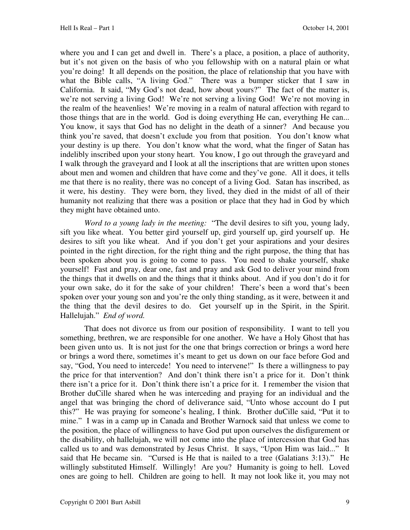where you and I can get and dwell in. There's a place, a position, a place of authority, but it's not given on the basis of who you fellowship with on a natural plain or what you're doing! It all depends on the position, the place of relationship that you have with what the Bible calls, "A living God." There was a bumper sticker that I saw in California. It said, "My God's not dead, how about yours?" The fact of the matter is, we're not serving a living God! We're not serving a living God! We're not moving in the realm of the heavenlies! We're moving in a realm of natural affection with regard to those things that are in the world. God is doing everything He can, everything He can... You know, it says that God has no delight in the death of a sinner? And because you think you're saved, that doesn't exclude you from that position. You don't know what your destiny is up there. You don't know what the word, what the finger of Satan has indelibly inscribed upon your stony heart. You know, I go out through the graveyard and I walk through the graveyard and I look at all the inscriptions that are written upon stones about men and women and children that have come and they've gone. All it does, it tells me that there is no reality, there was no concept of a living God. Satan has inscribed, as it were, his destiny. They were born, they lived, they died in the midst of all of their humanity not realizing that there was a position or place that they had in God by which they might have obtained unto.

 *Word to a young lady in the meeting:* "The devil desires to sift you, young lady, sift you like wheat. You better gird yourself up, gird yourself up, gird yourself up. He desires to sift you like wheat. And if you don't get your aspirations and your desires pointed in the right direction, for the right thing and the right purpose, the thing that has been spoken about you is going to come to pass. You need to shake yourself, shake yourself! Fast and pray, dear one, fast and pray and ask God to deliver your mind from the things that it dwells on and the things that it thinks about. And if you don't do it for your own sake, do it for the sake of your children! There's been a word that's been spoken over your young son and you're the only thing standing, as it were, between it and the thing that the devil desires to do. Get yourself up in the Spirit, in the Spirit. Hallelujah." *End of word.* 

 That does not divorce us from our position of responsibility. I want to tell you something, brethren, we are responsible for one another. We have a Holy Ghost that has been given unto us. It is not just for the one that brings correction or brings a word here or brings a word there, sometimes it's meant to get us down on our face before God and say, "God, You need to intercede! You need to intervene!" Is there a willingness to pay the price for that intervention? And don't think there isn't a price for it. Don't think there isn't a price for it. Don't think there isn't a price for it. I remember the vision that Brother duCille shared when he was interceding and praying for an individual and the angel that was bringing the chord of deliverance said, "Unto whose account do I put this?" He was praying for someone's healing, I think. Brother duCille said, "Put it to mine." I was in a camp up in Canada and Brother Warnock said that unless we come to the position, the place of willingness to have God put upon ourselves the disfigurement or the disability, oh hallelujah, we will not come into the place of intercession that God has called us to and was demonstrated by Jesus Christ. It says, "Upon Him was laid..." It said that He became sin. "Cursed is He that is nailed to a tree (Galatians 3:13)." He willingly substituted Himself. Willingly! Are you? Humanity is going to hell. Loved ones are going to hell. Children are going to hell. It may not look like it, you may not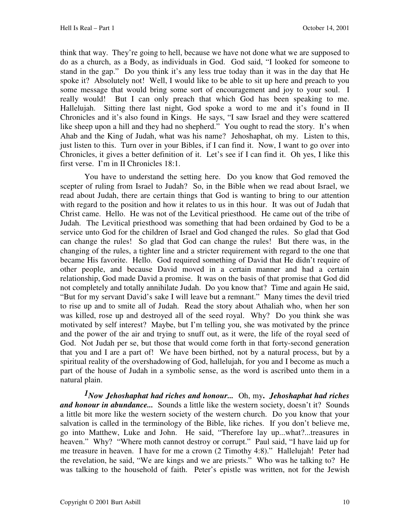think that way. They're going to hell, because we have not done what we are supposed to do as a church, as a Body, as individuals in God. God said, "I looked for someone to stand in the gap." Do you think it's any less true today than it was in the day that He spoke it? Absolutely not! Well, I would like to be able to sit up here and preach to you some message that would bring some sort of encouragement and joy to your soul. I really would! But I can only preach that which God has been speaking to me. Hallelujah. Sitting there last night, God spoke a word to me and it's found in II Chronicles and it's also found in Kings. He says, "I saw Israel and they were scattered like sheep upon a hill and they had no shepherd." You ought to read the story. It's when Ahab and the King of Judah, what was his name? Jehoshaphat, oh my. Listen to this, just listen to this. Turn over in your Bibles, if I can find it. Now, I want to go over into Chronicles, it gives a better definition of it. Let's see if I can find it. Oh yes, I like this first verse. I'm in II Chronicles 18:1.

You have to understand the setting here. Do you know that God removed the scepter of ruling from Israel to Judah? So, in the Bible when we read about Israel, we read about Judah, there are certain things that God is wanting to bring to our attention with regard to the position and how it relates to us in this hour. It was out of Judah that Christ came. Hello. He was not of the Levitical priesthood. He came out of the tribe of Judah. The Levitical priesthood was something that had been ordained by God to be a service unto God for the children of Israel and God changed the rules. So glad that God can change the rules! So glad that God can change the rules! But there was, in the changing of the rules, a tighter line and a stricter requirement with regard to the one that became His favorite. Hello. God required something of David that He didn't require of other people, and because David moved in a certain manner and had a certain relationship, God made David a promise. It was on the basis of that promise that God did not completely and totally annihilate Judah. Do you know that? Time and again He said, "But for my servant David's sake I will leave but a remnant." Many times the devil tried to rise up and to smite all of Judah. Read the story about Athaliah who, when her son was killed, rose up and destroyed all of the seed royal. Why? Do you think she was motivated by self interest? Maybe, but I'm telling you, she was motivated by the prince and the power of the air and trying to snuff out, as it were, the life of the royal seed of God. Not Judah per se, but those that would come forth in that forty-second generation that you and I are a part of! We have been birthed, not by a natural process, but by a spiritual reality of the overshadowing of God, hallelujah, for you and I become as much a part of the house of Judah in a symbolic sense, as the word is ascribed unto them in a natural plain.

*1Now Jehoshaphat had riches and honour...* Oh, my**.** *Jehoshaphat had riches and honour in abundance...* Sounds a little like the western society, doesn't it? Sounds a little bit more like the western society of the western church. Do you know that your salvation is called in the terminology of the Bible, like riches. If you don't believe me, go into Matthew, Luke and John. He said, "Therefore lay up...what?...treasures in heaven." Why? "Where moth cannot destroy or corrupt." Paul said, "I have laid up for me treasure in heaven. I have for me a crown (2 Timothy 4:8)." Hallelujah! Peter had the revelation, he said, "We are kings and we are priests." Who was he talking to? He was talking to the household of faith. Peter's epistle was written, not for the Jewish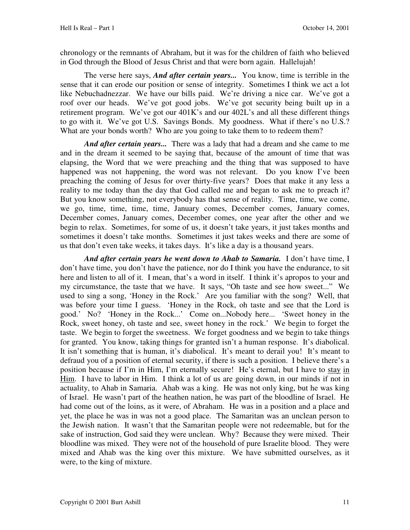chronology or the remnants of Abraham, but it was for the children of faith who believed in God through the Blood of Jesus Christ and that were born again. Hallelujah!

 The verse here says, *And after certain years...* You know, time is terrible in the sense that it can erode our position or sense of integrity. Sometimes I think we act a lot like Nebuchadnezzar. We have our bills paid. We're driving a nice car. We've got a roof over our heads. We've got good jobs. We've got security being built up in a retirement program. We've got our 401K's and our 402L's and all these different things to go with it. We've got U.S. Savings Bonds. My goodness. What if there's no U.S.? What are your bonds worth? Who are you going to take them to to redeem them?

And after certain years... There was a lady that had a dream and she came to me and in the dream it seemed to be saying that, because of the amount of time that was elapsing, the Word that we were preaching and the thing that was supposed to have happened was not happening, the word was not relevant. Do you know I've been preaching the coming of Jesus for over thirty-five years? Does that make it any less a reality to me today than the day that God called me and began to ask me to preach it? But you know something, not everybody has that sense of reality. Time, time, we come, we go, time, time, time, time, January comes, December comes, January comes, December comes, January comes, December comes, one year after the other and we begin to relax. Sometimes, for some of us, it doesn't take years, it just takes months and sometimes it doesn't take months. Sometimes it just takes weeks and there are some of us that don't even take weeks, it takes days. It's like a day is a thousand years.

And after certain years he went down to Ahab to Samaria. I don't have time, I don't have time, you don't have the patience, nor do I think you have the endurance, to sit here and listen to all of it. I mean, that's a word in itself. I think it's apropos to your and my circumstance, the taste that we have. It says, "Oh taste and see how sweet..." We used to sing a song, 'Honey in the Rock.' Are you familiar with the song? Well, that was before your time I guess. 'Honey in the Rock, oh taste and see that the Lord is good.' No? 'Honey in the Rock...' Come on...Nobody here... 'Sweet honey in the Rock, sweet honey, oh taste and see, sweet honey in the rock.' We begin to forget the taste. We begin to forget the sweetness. We forget goodness and we begin to take things for granted. You know, taking things for granted isn't a human response. It's diabolical. It isn't something that is human, it's diabolical. It's meant to derail you! It's meant to defraud you of a position of eternal security, if there is such a position. I believe there's a position because if I'm in Him, I'm eternally secure! He's eternal, but I have to stay in Him. I have to labor in Him. I think a lot of us are going down, in our minds if not in actuality, to Ahab in Samaria. Ahab was a king. He was not only king, but he was king of Israel. He wasn't part of the heathen nation, he was part of the bloodline of Israel. He had come out of the loins, as it were, of Abraham. He was in a position and a place and yet, the place he was in was not a good place. The Samaritan was an unclean person to the Jewish nation. It wasn't that the Samaritan people were not redeemable, but for the sake of instruction, God said they were unclean. Why? Because they were mixed. Their bloodline was mixed. They were not of the household of pure Israelite blood. They were mixed and Ahab was the king over this mixture. We have submitted ourselves, as it were, to the king of mixture.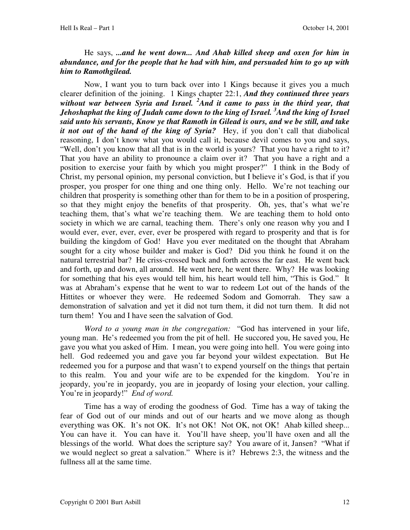### He says, *...and he went down... And Ahab killed sheep and oxen for him in abundance, and for the people that he had with him, and persuaded him to go up with him to Ramothgilead.*

 Now, I want you to turn back over into 1 Kings because it gives you a much clearer definition of the joining. 1 Kings chapter 22:1, *And they continued three years without war between Syria and Israel. <sup>2</sup>And it came to pass in the third year, that Jehoshaphat the king of Judah came down to the king of Israel. <sup>3</sup>And the king of Israel said unto his servants, Know ye that Ramoth in Gilead is ours, and we be still, and take it not out of the hand of the king of Syria?* Hey, if you don't call that diabolical reasoning, I don't know what you would call it, because devil comes to you and says, "Well, don't you know that all that is in the world is yours? That you have a right to it? That you have an ability to pronounce a claim over it? That you have a right and a position to exercise your faith by which you might prosper?" I think in the Body of Christ, my personal opinion, my personal conviction, but I believe it's God, is that if you prosper, you prosper for one thing and one thing only. Hello. We're not teaching our children that prosperity is something other than for them to be in a position of prospering, so that they might enjoy the benefits of that prosperity. Oh, yes, that's what we're teaching them, that's what we're teaching them. We are teaching them to hold onto society in which we are carnal, teaching them. There's only one reason why you and I would ever, ever, ever, ever, ever be prospered with regard to prosperity and that is for building the kingdom of God! Have you ever meditated on the thought that Abraham sought for a city whose builder and maker is God? Did you think he found it on the natural terrestrial bar? He criss-crossed back and forth across the far east. He went back and forth, up and down, all around. He went here, he went there. Why? He was looking for something that his eyes would tell him, his heart would tell him, "This is God." It was at Abraham's expense that he went to war to redeem Lot out of the hands of the Hittites or whoever they were. He redeemed Sodom and Gomorrah. They saw a demonstration of salvation and yet it did not turn them, it did not turn them. It did not turn them! You and I have seen the salvation of God.

 *Word to a young man in the congregation:* "God has intervened in your life, young man. He's redeemed you from the pit of hell. He succored you, He saved you, He gave you what you asked of Him. I mean, you were going into hell. You were going into hell. God redeemed you and gave you far beyond your wildest expectation. But He redeemed you for a purpose and that wasn't to expend yourself on the things that pertain to this realm. You and your wife are to be expended for the kingdom. You're in jeopardy, you're in jeopardy, you are in jeopardy of losing your election, your calling. You're in jeopardy!" *End of word.* 

 Time has a way of eroding the goodness of God. Time has a way of taking the fear of God out of our minds and out of our hearts and we move along as though everything was OK. It's not OK. It's not OK! Not OK, not OK! Ahab killed sheep... You can have it. You can have it. You'll have sheep, you'll have oxen and all the blessings of the world. What does the scripture say? You aware of it, Jansen? "What if we would neglect so great a salvation." Where is it? Hebrews 2:3, the witness and the fullness all at the same time.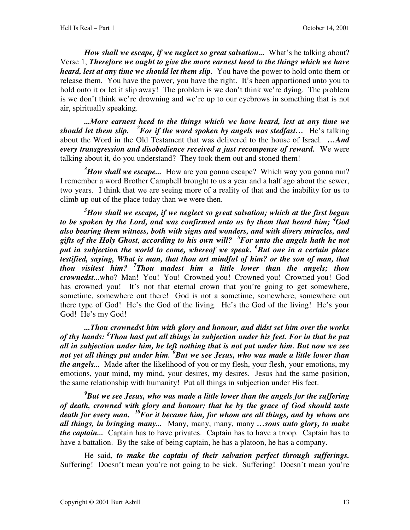*How shall we escape, if we neglect so great salvation...* What's he talking about? Verse 1, *Therefore we ought to give the more earnest heed to the things which we have heard, lest at any time we should let them slip.* You have the power to hold onto them or release them. You have the power, you have the right. It's been apportioned unto you to hold onto it or let it slip away! The problem is we don't think we're dying. The problem is we don't think we're drowning and we're up to our eyebrows in something that is not air, spiritually speaking.

*...More earnest heed to the things which we have heard, lest at any time we should let them slip. <sup>2</sup>For if the word spoken by angels was stedfast…* He's talking about the Word in the Old Testament that was delivered to the house of Israel. *…And every transgression and disobedience received a just recompense of reward.* We were talking about it, do you understand? They took them out and stoned them!

<sup>3</sup>*How shall we escape...* How are you gonna escape? Which way you gonna run? I remember a word Brother Campbell brought to us a year and a half ago about the sewer, two years. I think that we are seeing more of a reality of that and the inability for us to climb up out of the place today than we were then.

*<sup>3</sup>How shall we escape, if we neglect so great salvation; which at the first began to be spoken by the Lord, and was confirmed unto us by them that heard him; <sup>4</sup>God also bearing them witness, both with signs and wonders, and with divers miracles, and gifts of the Holy Ghost, according to his own will? <sup>5</sup>For unto the angels hath he not put in subjection the world to come, whereof we speak. <sup>6</sup>But one in a certain place testified, saying, What is man, that thou art mindful of him? or the son of man, that thou visitest him? <sup>7</sup> Thou madest him a little lower than the angels; thou crownedst...*who? Man! You! You! Crowned you! Crowned you! Crowned you! God has crowned you! It's not that eternal crown that you're going to get somewhere, sometime, somewhere out there! God is not a sometime, somewhere, somewhere out there type of God! He's the God of the living. He's the God of the living! He's your God! He's my God!

*...Thou crownedst him with glory and honour, and didst set him over the works of thy hands: <sup>8</sup> Thou hast put all things in subjection under his feet. For in that he put all in subjection under him, he left nothing that is not put under him. But now we see not yet all things put under him. <sup>9</sup>But we see Jesus, who was made a little lower than the angels...* Made after the likelihood of you or my flesh, your flesh, your emotions, my emotions, your mind, my mind, your desires, my desires. Jesus had the same position, the same relationship with humanity! Put all things in subjection under His feet.

*<sup>9</sup>But we see Jesus, who was made a little lower than the angels for the suffering of death, crowned with glory and honour; that he by the grace of God should taste death for every man. <sup>10</sup>For it became him, for whom are all things, and by whom are all things, in bringing many...* Many, many, many, many *…sons unto glory, to make the captain...* Captain has to have privates. Captain has to have a troop. Captain has to have a battalion. By the sake of being captain, he has a platoon, he has a company.

 He said, *to make the captain of their salvation perfect through sufferings.*  Suffering! Doesn't mean you're not going to be sick. Suffering! Doesn't mean you're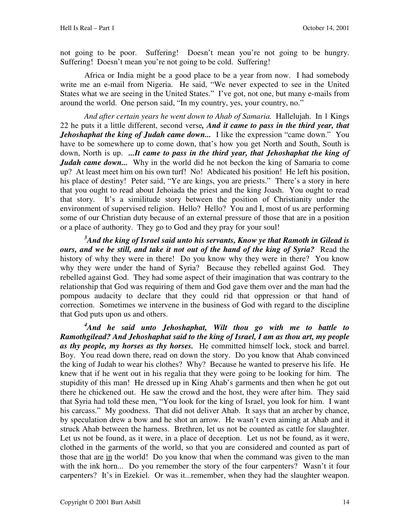not going to be poor. Suffering! Doesn't mean you're not going to be hungry. Suffering! Doesn't mean you're not going to be cold. Suffering!

 Africa or India might be a good place to be a year from now. I had somebody write me an e-mail from Nigeria. He said, "We never expected to see in the United States what we are seeing in the United States." I've got, not one, but many e-mails from around the world. One person said, "In my country, yes, your country, no."

*And after certain years he went down to Ahab of Samaria.* Hallelujah. In 1 Kings 22 he puts it a little different, second verse*, And it came to pass in the third year, that Jehoshaphat the king of Judah came down...* I like the expression "came down." You have to be somewhere up to come down, that's how you get North and South, South is down, North is up. *...It came to pass in the third year, that Jehoshaphat the king of Judah came down...* Why in the world did he not beckon the king of Samaria to come up? At least meet him on his own turf! No! Abdicated his position! He left his position, his place of destiny! Peter said, "Ye are kings, you are priests." There's a story in here that you ought to read about Jehoiada the priest and the king Joash. You ought to read that story. It's a similitude story between the position of Christianity under the environment of supervised religion. Hello? Hello? You and I, most of us are performing some of our Christian duty because of an external pressure of those that are in a position or a place of authority. They go to God and they pray for your soul!

*<sup>3</sup>And the king of Israel said unto his servants, Know ye that Ramoth in Gilead is ours, and we be still, and take it not out of the hand of the king of Syria?* Read the history of why they were in there! Do you know why they were in there? You know why they were under the hand of Syria? Because they rebelled against God. They rebelled against God. They had some aspect of their imagination that was contrary to the relationship that God was requiring of them and God gave them over and the man had the pompous audacity to declare that they could rid that oppression or that hand of correction. Sometimes we intervene in the business of God with regard to the discipline that God puts upon us and others.

*<sup>4</sup>And he said unto Jehoshaphat, Wilt thou go with me to battle to Ramothgilead? And Jehoshaphat said to the king of Israel, I am as thou art, my people*  as thy people, my horses as thy horses. He committed himself lock, stock and barrel. Boy. You read down there, read on down the story. Do you know that Ahab convinced the king of Judah to wear his clothes? Why? Because he wanted to preserve his life. He knew that if he went out in his regalia that they were going to be looking for him. The stupidity of this man! He dressed up in King Ahab's garments and then when he got out there he chickened out. He saw the crowd and the host, they were after him. They said that Syria had told these men, "You look for the king of Israel, you look for him. I want his carcass." My goodness. That did not deliver Ahab. It says that an archer by chance, by speculation drew a bow and he shot an arrow. He wasn't even aiming at Ahab and it struck Ahab between the harness. Brethren, let us not be counted as cattle for slaughter. Let us not be found, as it were, in a place of deception. Let us not be found, as it were, clothed in the garments of the world, so that you are considered and counted as part of those that are in the world! Do you know that when the command was given to the man with the ink horn... Do you remember the story of the four carpenters? Wasn't it four carpenters? It's in Ezekiel. Or was it...remember, when they had the slaughter weapon.